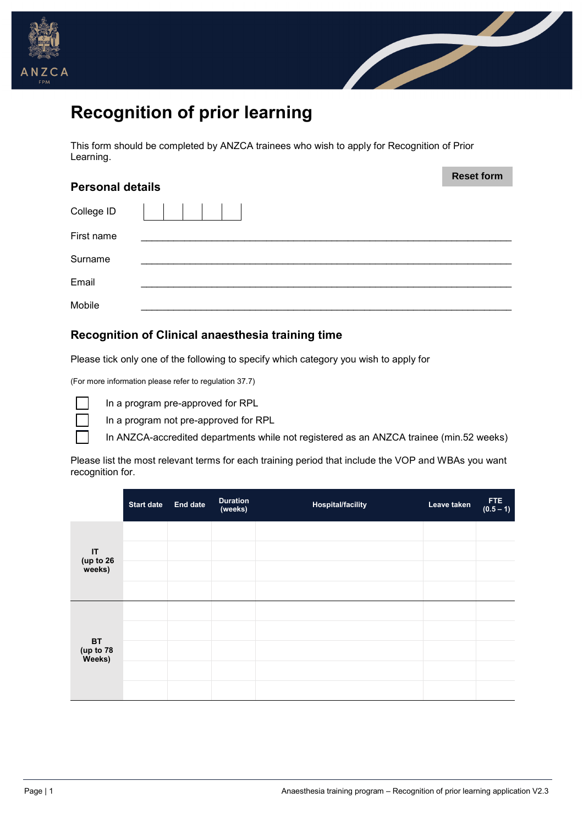



# **Recognition of prior learning**

This form should be completed by ANZCA trainees who wish to apply for Recognition of Prior Learning.

| <b>Personal details</b> | <b>Reset form</b> |
|-------------------------|-------------------|
|                         |                   |
| College ID              |                   |
| First name              |                   |
| Surname                 |                   |
| Email                   |                   |
| Mobile                  |                   |

#### **Recognition of Clinical anaesthesia training time**

Please tick only one of the following to specify which category you wish to apply for

(For more information please refer to regulation 37.7)



In a program pre-approved for RPL

In a program not pre-approved for RPL

In ANZCA-accredited departments while not registered as an ANZCA trainee (min.52 weeks)

Please list the most relevant terms for each training period that include the VOP and WBAs you want recognition for.

|                           | <b>Start date</b> | End date | <b>Duration</b><br>(weeks) | <b>Hospital/facility</b> | Leave taken | FTE<br>(0.5 – 1) |
|---------------------------|-------------------|----------|----------------------------|--------------------------|-------------|------------------|
|                           |                   |          |                            |                          |             |                  |
| IT<br>(up to 26<br>weeks) |                   |          |                            |                          |             |                  |
|                           |                   |          |                            |                          |             |                  |
|                           |                   |          |                            |                          |             |                  |
| <b>BT</b>                 |                   |          |                            |                          |             |                  |
| (up to 78<br>Weeks)       |                   |          |                            |                          |             |                  |
|                           |                   |          |                            |                          |             |                  |
|                           |                   |          |                            |                          |             |                  |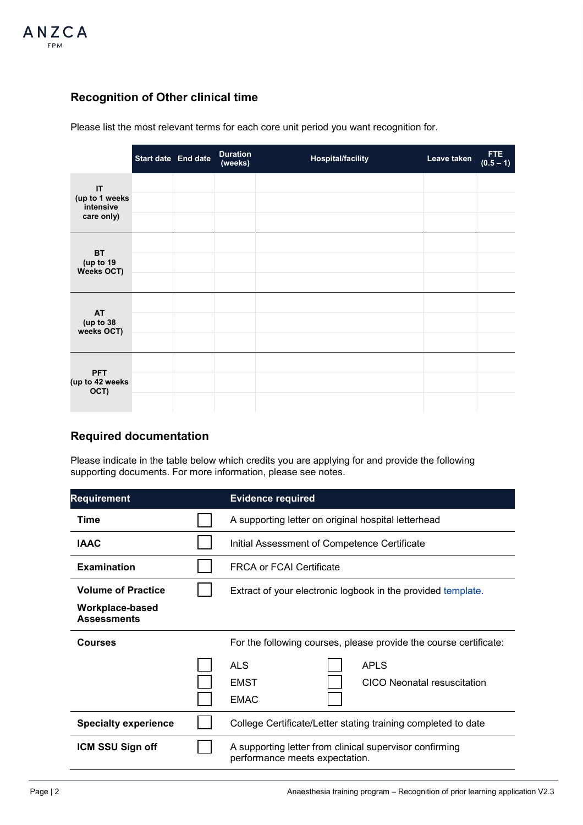

### **Recognition of Other clinical time**

Please list the most relevant terms for each core unit period you want recognition for.

|                                                 | Start date End date | <b>Duration</b><br>(weeks) | <b>Hospital/facility</b> | Leave taken | <b>FTE</b><br>$(0.5 - 1)$ |
|-------------------------------------------------|---------------------|----------------------------|--------------------------|-------------|---------------------------|
| IT<br>(up to 1 weeks<br>intensive<br>care only) |                     |                            |                          |             |                           |
| <b>BT</b><br>(up to 19<br>Weeks OCT)            |                     |                            |                          |             |                           |
| <b>AT</b><br>(up to 38<br>weeks OCT)            |                     |                            |                          |             |                           |
| <b>PFT</b><br>(up to 42 weeks<br>OCT)           |                     |                            |                          |             |                           |

#### **Required documentation**

Please indicate in the table below which credits you are applying for and provide the following supporting documents. For more information, please see notes.

| <b>Requirement</b>                    | <b>Evidence required</b>                                                                  |  |  |
|---------------------------------------|-------------------------------------------------------------------------------------------|--|--|
| Time                                  | A supporting letter on original hospital letterhead                                       |  |  |
| <b>IAAC</b>                           | Initial Assessment of Competence Certificate                                              |  |  |
| <b>Examination</b>                    | <b>FRCA or FCAI Certificate</b>                                                           |  |  |
| <b>Volume of Practice</b>             | Extract of your electronic logbook in the provided template.                              |  |  |
| Workplace-based<br><b>Assessments</b> |                                                                                           |  |  |
| <b>Courses</b>                        | For the following courses, please provide the course certificate:                         |  |  |
|                                       | <b>ALS</b><br><b>APLS</b><br>EMST<br>CICO Neonatal resuscitation<br><b>EMAC</b>           |  |  |
| <b>Specialty experience</b>           | College Certificate/Letter stating training completed to date                             |  |  |
| ICM SSU Sign off                      | A supporting letter from clinical supervisor confirming<br>performance meets expectation. |  |  |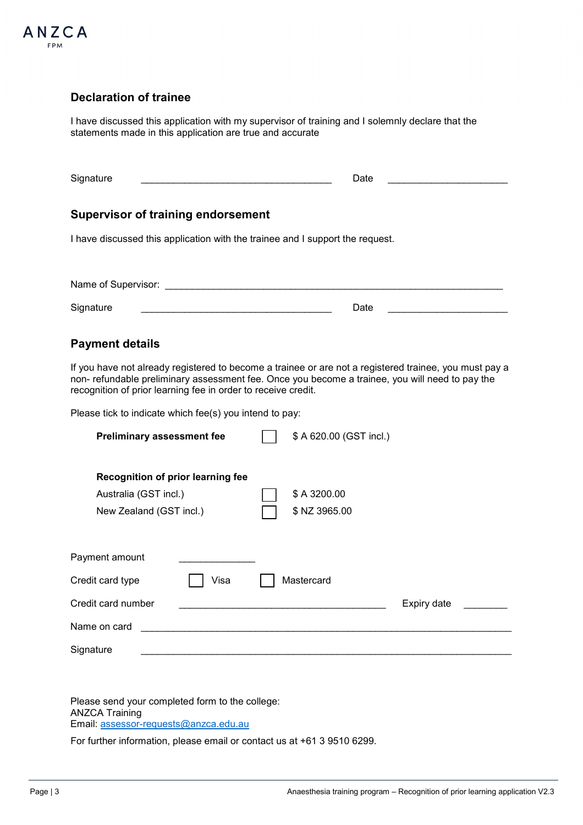

#### **Declaration of trainee**

I have discussed this application with my supervisor of training and I solemnly declare that the statements made in this application are true and accurate

| Signature                                                                     | Date                                                                                                                                                                                                      |
|-------------------------------------------------------------------------------|-----------------------------------------------------------------------------------------------------------------------------------------------------------------------------------------------------------|
|                                                                               |                                                                                                                                                                                                           |
| <b>Supervisor of training endorsement</b>                                     |                                                                                                                                                                                                           |
| I have discussed this application with the trainee and I support the request. |                                                                                                                                                                                                           |
|                                                                               |                                                                                                                                                                                                           |
|                                                                               |                                                                                                                                                                                                           |
| Signature                                                                     | Date                                                                                                                                                                                                      |
|                                                                               |                                                                                                                                                                                                           |
| <b>Payment details</b>                                                        |                                                                                                                                                                                                           |
| recognition of prior learning fee in order to receive credit.                 | If you have not already registered to become a trainee or are not a registered trainee, you must pay a<br>non- refundable preliminary assessment fee. Once you become a trainee, you will need to pay the |
| Please tick to indicate which fee(s) you intend to pay:                       |                                                                                                                                                                                                           |
| <b>Preliminary assessment fee</b>                                             | \$ A 620.00 (GST incl.)                                                                                                                                                                                   |
|                                                                               |                                                                                                                                                                                                           |
| Recognition of prior learning fee                                             |                                                                                                                                                                                                           |
| Australia (GST incl.)                                                         | \$A 3200.00                                                                                                                                                                                               |
| New Zealand (GST incl.)                                                       | \$ NZ 3965.00                                                                                                                                                                                             |
|                                                                               |                                                                                                                                                                                                           |
| Payment amount                                                                |                                                                                                                                                                                                           |
| Visa<br>Credit card type                                                      | Mastercard                                                                                                                                                                                                |
| Credit card number                                                            | Expiry date                                                                                                                                                                                               |
| Name on card                                                                  |                                                                                                                                                                                                           |
| Signature                                                                     |                                                                                                                                                                                                           |

Please send your completed form to the college: ANZCA Training Email: [assessor-requests@anzca.edu.au](mailto:assessor-requests@anzca.edu.au) 

For further information, please email or contact us at +61 3 9510 6299.